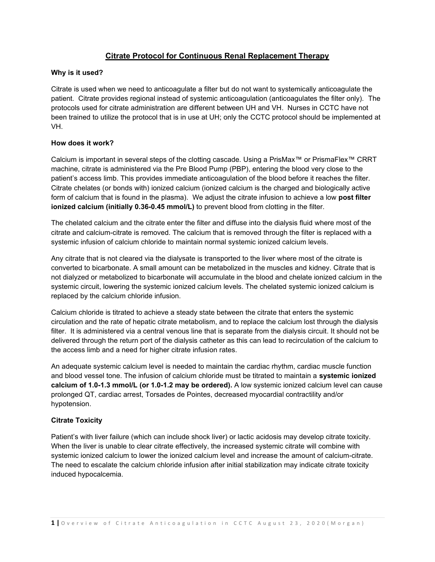# **Citrate Protocol for Continuous Renal Replacement Therapy**

## **Why is it used?**

Citrate is used when we need to anticoagulate a filter but do not want to systemically anticoagulate the patient. Citrate provides regional instead of systemic anticoagulation (anticoagulates the filter only). The protocols used for citrate administration are different between UH and VH. Nurses in CCTC have not been trained to utilize the protocol that is in use at UH; only the CCTC protocol should be implemented at VH.

## **How does it work?**

Calcium is important in several steps of the clotting cascade. Using a PrisMax™ or PrismaFlex™ CRRT machine, citrate is administered via the Pre Blood Pump (PBP), entering the blood very close to the patient's access limb. This provides immediate anticoagulation of the blood before it reaches the filter. Citrate chelates (or bonds with) ionized calcium (ionized calcium is the charged and biologically active form of calcium that is found in the plasma). We adjust the citrate infusion to achieve a low **post filter ionized calcium (initially 0.36-0.45 mmol/L)** to prevent blood from clotting in the filter.

The chelated calcium and the citrate enter the filter and diffuse into the dialysis fluid where most of the citrate and calcium-citrate is removed. The calcium that is removed through the filter is replaced with a systemic infusion of calcium chloride to maintain normal systemic ionized calcium levels.

Any citrate that is not cleared via the dialysate is transported to the liver where most of the citrate is converted to bicarbonate. A small amount can be metabolized in the muscles and kidney. Citrate that is not dialyzed or metabolized to bicarbonate will accumulate in the blood and chelate ionized calcium in the systemic circuit, lowering the systemic ionized calcium levels. The chelated systemic ionized calcium is replaced by the calcium chloride infusion.

Calcium chloride is titrated to achieve a steady state between the citrate that enters the systemic circulation and the rate of hepatic citrate metabolism, and to replace the calcium lost through the dialysis filter. It is administered via a central venous line that is separate from the dialysis circuit. It should not be delivered through the return port of the dialysis catheter as this can lead to recirculation of the calcium to the access limb and a need for higher citrate infusion rates.

An adequate systemic calcium level is needed to maintain the cardiac rhythm, cardiac muscle function and blood vessel tone. The infusion of calcium chloride must be titrated to maintain a **systemic ionized calcium of 1.0-1.3 mmol/L (or 1.0-1.2 may be ordered).** A low systemic ionized calcium level can cause prolonged QT, cardiac arrest, Torsades de Pointes, decreased myocardial contractility and/or hypotension.

# **Citrate Toxicity**

Patient's with liver failure (which can include shock liver) or lactic acidosis may develop citrate toxicity. When the liver is unable to clear citrate effectively, the increased systemic citrate will combine with systemic ionized calcium to lower the ionized calcium level and increase the amount of calcium-citrate. The need to escalate the calcium chloride infusion after initial stabilization may indicate citrate toxicity induced hypocalcemia.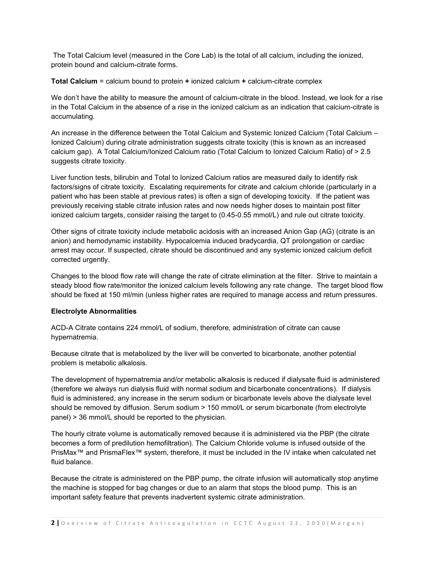The Total Calcium level (measured in the Core Lab) is the total of all calcium, including the ionized, protein bound and calcium-citrate forms.

**Total Calcium** = calcium bound to protein **+** ionized calcium **+** calcium-citrate complex

We don't have the ability to measure the amount of calcium-citrate in the blood. Instead, we look for a rise in the Total Calcium in the absence of a rise in the ionized calcium as an indication that calcium-citrate is accumulating.

An increase in the difference between the Total Calcium and Systemic Ionized Calcium (Total Calcium – Ionized Calcium) during citrate administration suggests citrate toxicity (this is known as an increased calcium gap). A Total Calcium/Ionized Calcium ratio (Total Calcium to Ionized Calcium Ratio) of > 2.5 suggests citrate toxicity.

Liver function tests, bilirubin and Total to Ionized Calcium ratios are measured daily to identify risk factors/signs of citrate toxicity. Escalating requirements for citrate and calcium chloride (particularly in a patient who has been stable at previous rates) is often a sign of developing toxicity. If the patient was previously receiving stable citrate infusion rates and now needs higher doses to maintain post filter ionized calcium targets, consider raising the target to (0.45-0.55 mmol/L) and rule out citrate toxicity.

Other signs of citrate toxicity include metabolic acidosis with an increased Anion Gap (AG) (citrate is an anion) and hemodynamic instability. Hypocalcemia induced bradycardia, QT prolongation or cardiac arrest may occur. If suspected, citrate should be discontinued and any systemic ionized calcium deficit corrected urgently.

Changes to the blood flow rate will change the rate of citrate elimination at the filter. Strive to maintain a steady blood flow rate/monitor the ionized calcium levels following any rate change. The target blood flow should be fixed at 150 ml/min (unless higher rates are required to manage access and return pressures.

# **Electrolyte Abnormalities**

ACD-A Citrate contains 224 mmol/L of sodium, therefore, administration of citrate can cause hypernatremia.

Because citrate that is metabolized by the liver will be converted to bicarbonate, another potential problem is metabolic alkalosis.

The development of hypernatremia and/or metabolic alkalosis is reduced if dialysate fluid is administered (therefore we always run dialysis fluid with normal sodium and bicarbonate concentrations). If dialysis fluid is administered, any increase in the serum sodium or bicarbonate levels above the dialysate level should be removed by diffusion. Serum sodium > 150 mmol/L or serum bicarbonate (from electrolyte panel) > 36 mmol/L should be reported to the physician.

The hourly citrate volume is automatically removed because it is administered via the PBP (the citrate becomes a form of predilution hemofiltration). The Calcium Chloride volume is infused outside of the PrisMax™ and PrismaFlex™ system, therefore, it must be included in the IV intake when calculated net fluid balance.

Because the citrate is administered on the PBP pump, the citrate infusion will automatically stop anytime the machine is stopped for bag changes or due to an alarm that stops the blood pump. This is an important safety feature that prevents inadvertent systemic citrate administration.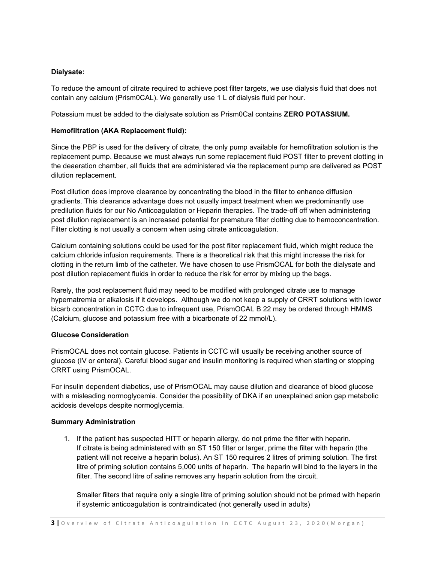## **Dialysate:**

To reduce the amount of citrate required to achieve post filter targets, we use dialysis fluid that does not contain any calcium (Prism0CAL). We generally use 1 L of dialysis fluid per hour.

Potassium must be added to the dialysate solution as Prism0Cal contains **ZERO POTASSIUM.**

## **Hemofiltration (AKA Replacement fluid):**

Since the PBP is used for the delivery of citrate, the only pump available for hemofiltration solution is the replacement pump. Because we must always run some replacement fluid POST filter to prevent clotting in the deaeration chamber, all fluids that are administered via the replacement pump are delivered as POST dilution replacement.

Post dilution does improve clearance by concentrating the blood in the filter to enhance diffusion gradients. This clearance advantage does not usually impact treatment when we predominantly use predilution fluids for our No Anticoagulation or Heparin therapies. The trade-off off when administering post dilution replacement is an increased potential for premature filter clotting due to hemoconcentration. Filter clotting is not usually a concern when using citrate anticoagulation.

Calcium containing solutions could be used for the post filter replacement fluid, which might reduce the calcium chloride infusion requirements. There is a theoretical risk that this might increase the risk for clotting in the return limb of the catheter. We have chosen to use PrismOCAL for both the dialysate and post dilution replacement fluids in order to reduce the risk for error by mixing up the bags.

Rarely, the post replacement fluid may need to be modified with prolonged citrate use to manage hypernatremia or alkalosis if it develops. Although we do not keep a supply of CRRT solutions with lower bicarb concentration in CCTC due to infrequent use, PrismOCAL B 22 may be ordered through HMMS (Calcium, glucose and potassium free with a bicarbonate of 22 mmol/L).

### **Glucose Consideration**

PrismOCAL does not contain glucose. Patients in CCTC will usually be receiving another source of glucose (IV or enteral). Careful blood sugar and insulin monitoring is required when starting or stopping CRRT using PrismOCAL.

For insulin dependent diabetics, use of PrismOCAL may cause dilution and clearance of blood glucose with a misleading normoglycemia. Consider the possibility of DKA if an unexplained anion gap metabolic acidosis develops despite normoglycemia.

### **Summary Administration**

1. If the patient has suspected HITT or heparin allergy, do not prime the filter with heparin. If citrate is being administered with an ST 150 filter or larger, prime the filter with heparin (the patient will not receive a heparin bolus). An ST 150 requires 2 litres of priming solution. The first litre of priming solution contains 5,000 units of heparin. The heparin will bind to the layers in the filter. The second litre of saline removes any heparin solution from the circuit.

Smaller filters that require only a single litre of priming solution should not be primed with heparin if systemic anticoagulation is contraindicated (not generally used in adults)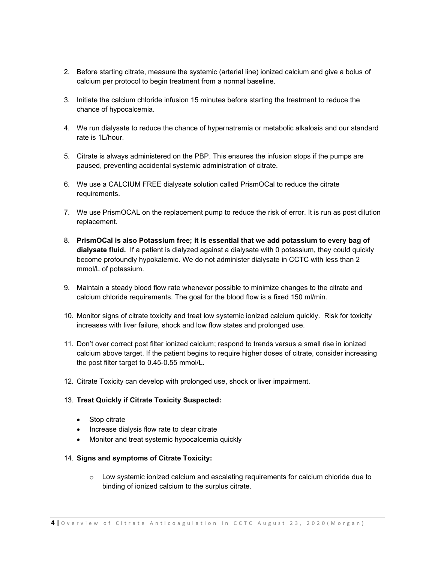- 2. Before starting citrate, measure the systemic (arterial line) ionized calcium and give a bolus of calcium per protocol to begin treatment from a normal baseline.
- 3. Initiate the calcium chloride infusion 15 minutes before starting the treatment to reduce the chance of hypocalcemia.
- 4. We run dialysate to reduce the chance of hypernatremia or metabolic alkalosis and our standard rate is 1L/hour.
- 5. Citrate is always administered on the PBP. This ensures the infusion stops if the pumps are paused, preventing accidental systemic administration of citrate.
- 6. We use a CALCIUM FREE dialysate solution called PrismOCal to reduce the citrate requirements.
- 7. We use PrismOCAL on the replacement pump to reduce the risk of error. It is run as post dilution replacement.
- 8. **PrismOCal is also Potassium free; it is essential that we add potassium to every bag of dialysate fluid.** If a patient is dialyzed against a dialysate with 0 potassium, they could quickly become profoundly hypokalemic. We do not administer dialysate in CCTC with less than 2 mmol/L of potassium.
- 9. Maintain a steady blood flow rate whenever possible to minimize changes to the citrate and calcium chloride requirements. The goal for the blood flow is a fixed 150 ml/min.
- 10. Monitor signs of citrate toxicity and treat low systemic ionized calcium quickly. Risk for toxicity increases with liver failure, shock and low flow states and prolonged use.
- 11. Don't over correct post filter ionized calcium; respond to trends versus a small rise in ionized calcium above target. If the patient begins to require higher doses of citrate, consider increasing the post filter target to 0.45-0.55 mmol/L.
- 12. Citrate Toxicity can develop with prolonged use, shock or liver impairment.

### 13. **Treat Quickly if Citrate Toxicity Suspected:**

- Stop citrate
- Increase dialysis flow rate to clear citrate
- Monitor and treat systemic hypocalcemia quickly

### 14. **Signs and symptoms of Citrate Toxicity:**

 $\circ$  Low systemic ionized calcium and escalating requirements for calcium chloride due to binding of ionized calcium to the surplus citrate.